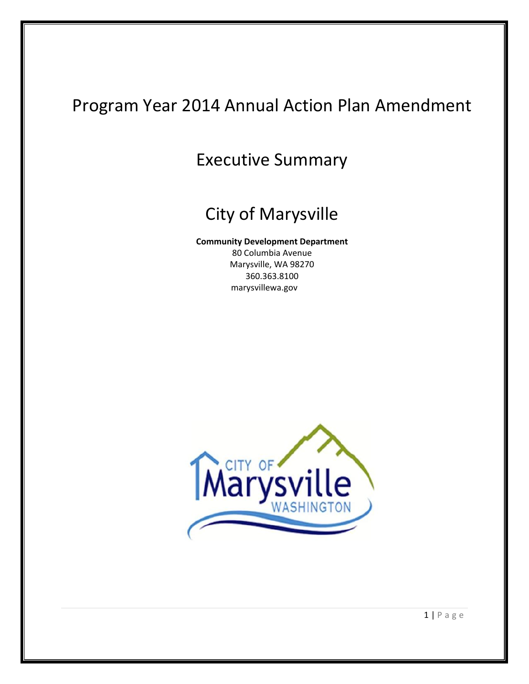# Program Year 2014 Annual Action Plan Amendment

## Executive Summary

# City of Marysville

#### **Community Development Department**

80 Columbia Avenue Marysville, WA 98270 360.363.8100 marysvillewa.gov



1 | Page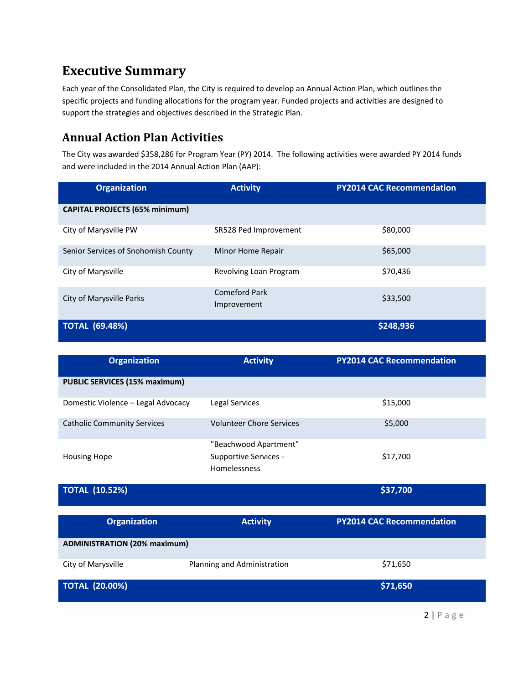## **Executive Summary**

Each year of the Consolidated Plan, the City is required to develop an Annual Action Plan, which outlines the specific projects and funding allocations for the program year. Funded projects and activities are designed to support the strategies and objectives described in the Strategic Plan.

### **Annual Action Plan Activities**

The City was awarded \$358,286 for Program Year (PY) 2014. The following activities were awarded PY 2014 funds and were included in the 2014 Annual Action Plan (AAP):

| <b>Organization</b>                   | <b>Activity</b>                     | <b>PY2014 CAC Recommendation</b> |
|---------------------------------------|-------------------------------------|----------------------------------|
| <b>CAPITAL PROJECTS (65% minimum)</b> |                                     |                                  |
| City of Marysville PW                 | SR528 Ped Improvement               | \$80,000                         |
| Senior Services of Snohomish County   | Minor Home Repair                   | \$65,000                         |
| City of Marysville                    | Revolving Loan Program              | \$70,436                         |
| City of Marysville Parks              | <b>Comeford Park</b><br>Improvement | \$33,500                         |
| <b>TOTAL (69.48%)</b>                 |                                     | \$248,936                        |

| <b>Organization</b>                  | <b>Activity</b>                                                | <b>PY2014 CAC Recommendation</b> |
|--------------------------------------|----------------------------------------------------------------|----------------------------------|
| <b>PUBLIC SERVICES (15% maximum)</b> |                                                                |                                  |
| Domestic Violence - Legal Advocacy   | Legal Services                                                 | \$15,000                         |
| <b>Catholic Community Services</b>   | <b>Volunteer Chore Services</b>                                | \$5,000                          |
| <b>Housing Hope</b>                  | "Beachwood Apartment"<br>Supportive Services -<br>Homelessness | \$17,700                         |
| <b>TOTAL (10.52%)</b>                |                                                                | \$37,700                         |
| <b>Organization</b>                  | <b>Activity</b>                                                | <b>PY2014 CAC Recommendation</b> |
| <b>ADMINISTRATION (20% maximum)</b>  |                                                                |                                  |
| City of Marysville                   | Planning and Administration                                    | \$71,650                         |
| <b>TOTAL (20.00%)</b>                |                                                                | \$71,650                         |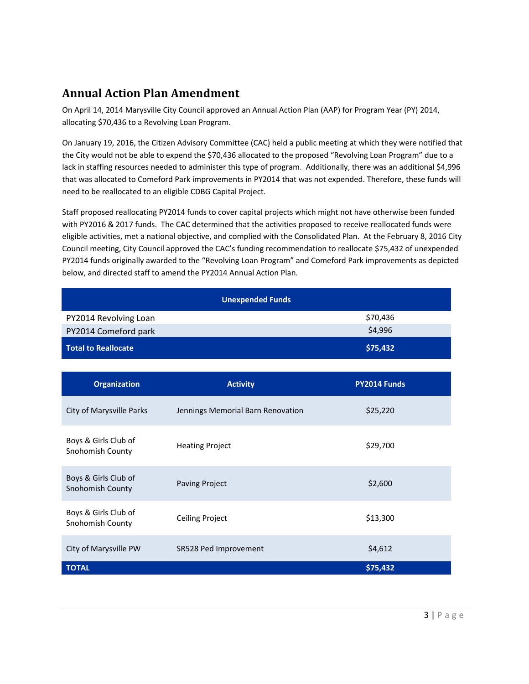## **Annual Action Plan Amendment**

On April 14, 2014 Marysville City Council approved an Annual Action Plan (AAP) for Program Year (PY) 2014, allocating \$70,436 to a Revolving Loan Program.

On January 19, 2016, the Citizen Advisory Committee (CAC) held a public meeting at which they were notified that the City would not be able to expend the \$70,436 allocated to the proposed "Revolving Loan Program" due to a lack in staffing resources needed to administer this type of program. Additionally, there was an additional \$4,996 that was allocated to Comeford Park improvements in PY2014 that was not expended. Therefore, these funds will need to be reallocated to an eligible CDBG Capital Project.

Staff proposed reallocating PY2014 funds to cover capital projects which might not have otherwise been funded with PY2016 & 2017 funds. The CAC determined that the activities proposed to receive reallocated funds were eligible activities, met a national objective, and complied with the Consolidated Plan. At the February 8, 2016 City Council meeting, City Council approved the CAC's funding recommendation to reallocate \$75,432 of unexpended PY2014 funds originally awarded to the "Revolving Loan Program" and Comeford Park improvements as depicted below, and directed staff to amend the PY2014 Annual Action Plan.

| <b>Unexpended Funds</b>                  |                                   |              |  |
|------------------------------------------|-----------------------------------|--------------|--|
| PY2014 Revolving Loan                    |                                   | \$70,436     |  |
| PY2014 Comeford park                     |                                   | \$4,996      |  |
| <b>Total to Reallocate</b>               |                                   | \$75,432     |  |
|                                          |                                   |              |  |
| <b>Organization</b>                      | <b>Activity</b>                   | PY2014 Funds |  |
| City of Marysville Parks                 | Jennings Memorial Barn Renovation | \$25,220     |  |
| Boys & Girls Club of<br>Snohomish County | <b>Heating Project</b>            | \$29,700     |  |
| Boys & Girls Club of<br>Snohomish County | <b>Paving Project</b>             | \$2,600      |  |
| Boys & Girls Club of<br>Snohomish County | <b>Ceiling Project</b>            | \$13,300     |  |
| City of Marysville PW                    | SR528 Ped Improvement             | \$4,612      |  |
| <b>TOTAL</b>                             |                                   | \$75,432     |  |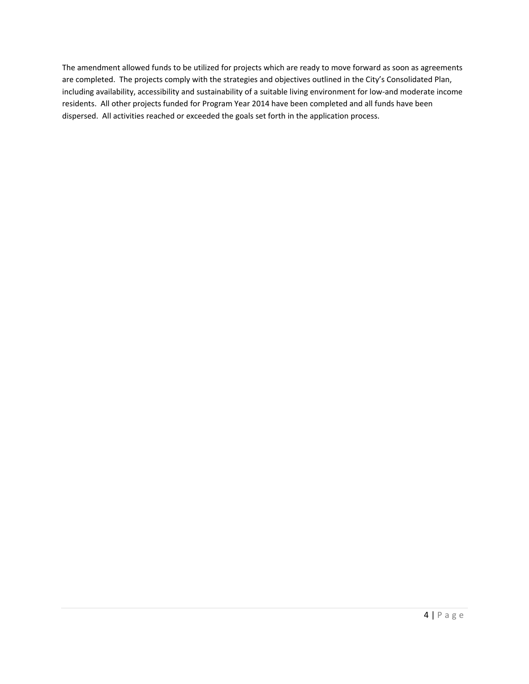The amendment allowed funds to be utilized for projects which are ready to move forward as soon as agreements are completed. The projects comply with the strategies and objectives outlined in the City's Consolidated Plan, including availability, accessibility and sustainability of a suitable living environment for low-and moderate income residents. All other projects funded for Program Year 2014 have been completed and all funds have been dispersed. All activities reached or exceeded the goals set forth in the application process.